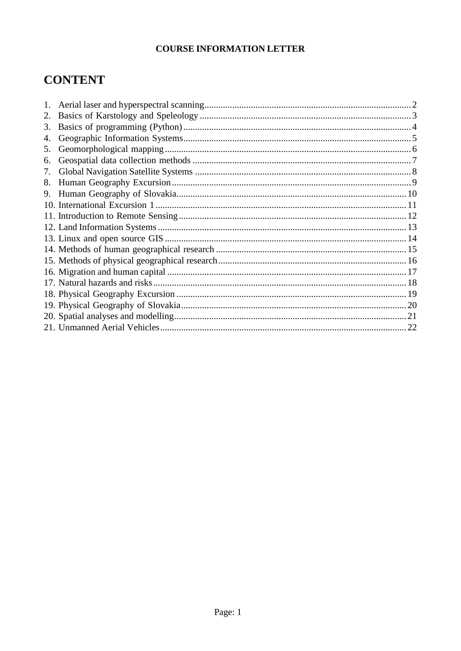# **CONTENT**

| 1. |    |
|----|----|
| 2. |    |
| 3. |    |
| 4. |    |
| 5. |    |
| 6. |    |
| 7. |    |
| 8. |    |
| 9. |    |
|    |    |
|    |    |
|    |    |
|    |    |
|    |    |
|    |    |
|    |    |
|    |    |
|    |    |
|    |    |
|    |    |
|    | 22 |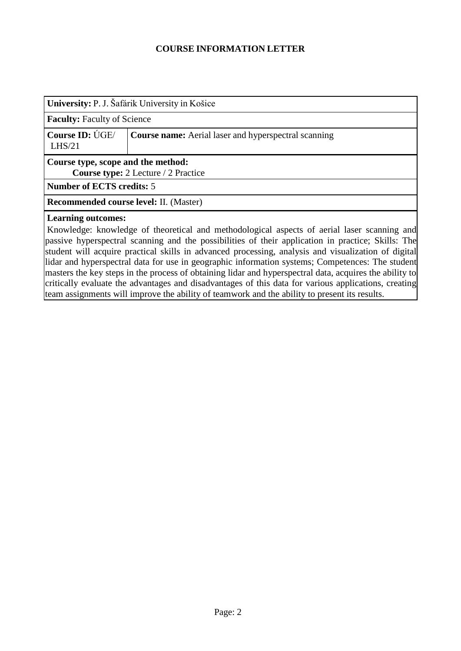<span id="page-1-0"></span>

| University: P. J. Šafárik University in Košice                                   |                                                                                             |  |  |  |
|----------------------------------------------------------------------------------|---------------------------------------------------------------------------------------------|--|--|--|
| <b>Faculty: Faculty of Science</b>                                               |                                                                                             |  |  |  |
| Course ID: UGE/<br>$L$ HS $/21$                                                  | <b>Course name:</b> Aerial laser and hyperspectral scanning                                 |  |  |  |
| Course type, scope and the method:<br><b>Course type:</b> 2 Lecture / 2 Practice |                                                                                             |  |  |  |
| <b>Number of ECTS credits: 5</b>                                                 |                                                                                             |  |  |  |
| <b>Recommended course level: II. (Master)</b>                                    |                                                                                             |  |  |  |
| <b>Learning outcomes:</b>                                                        | Knowledge: knowledge of theoretical and methodological aspects of aerial laser scanning and |  |  |  |

passive hyperspectral scanning and the possibilities of their application in practice; Skills: The student will acquire practical skills in advanced processing, analysis and visualization of digital lidar and hyperspectral data for use in geographic information systems; Competences: The student masters the key steps in the process of obtaining lidar and hyperspectral data, acquires the ability to critically evaluate the advantages and disadvantages of this data for various applications, creating team assignments will improve the ability of teamwork and the ability to present its results.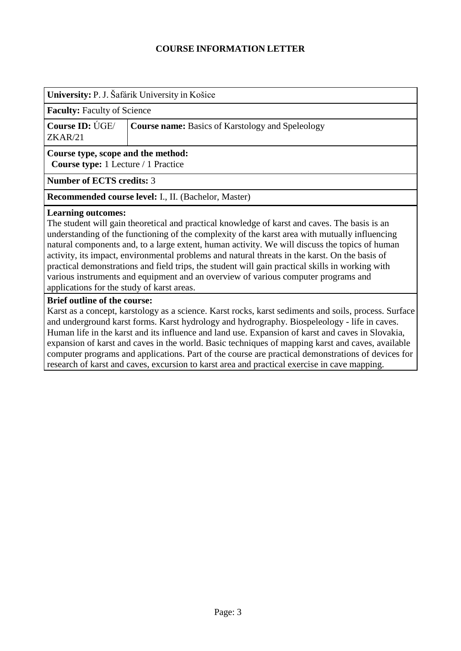<span id="page-2-0"></span>

| University: P. J. Šafárik University in Košice                                   |                                                         |  |  |  |
|----------------------------------------------------------------------------------|---------------------------------------------------------|--|--|--|
| <b>Faculty:</b> Faculty of Science                                               |                                                         |  |  |  |
| Course ID: UGE/<br>ZKAR/21                                                       | <b>Course name:</b> Basics of Karstology and Speleology |  |  |  |
| Course type, scope and the method:<br><b>Course type:</b> 1 Lecture / 1 Practice |                                                         |  |  |  |
| <b>Number of ECTS credits: 3</b>                                                 |                                                         |  |  |  |
| Recommended course level: I., II. (Bachelor, Master)                             |                                                         |  |  |  |
| Learning outcomes:                                                               |                                                         |  |  |  |

## **Learning outcomes:**

The student will gain theoretical and practical knowledge of karst and caves. The basis is an understanding of the functioning of the complexity of the karst area with mutually influencing natural components and, to a large extent, human activity. We will discuss the topics of human activity, its impact, environmental problems and natural threats in the karst. On the basis of practical demonstrations and field trips, the student will gain practical skills in working with various instruments and equipment and an overview of various computer programs and applications for the study of karst areas.

#### **Brief outline of the course:**

Karst as a concept, karstology as a science. Karst rocks, karst sediments and soils, process. Surface and underground karst forms. Karst hydrology and hydrography. Biospeleology - life in caves. Human life in the karst and its influence and land use. Expansion of karst and caves in Slovakia, expansion of karst and caves in the world. Basic techniques of mapping karst and caves, available computer programs and applications. Part of the course are practical demonstrations of devices for research of karst and caves, excursion to karst area and practical exercise in cave mapping.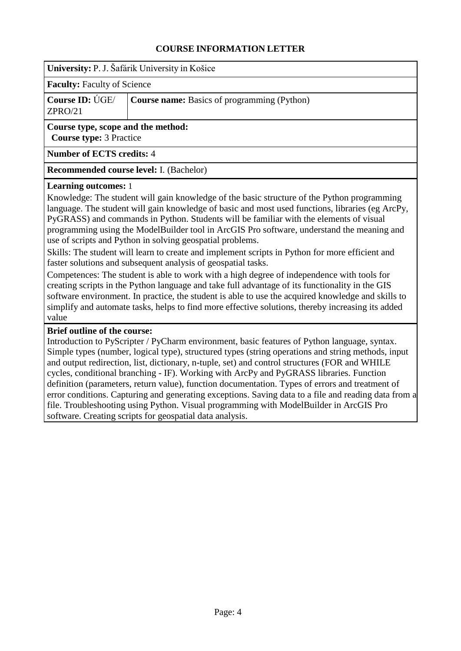<span id="page-3-0"></span>**University:** P. J. Šafárik University in Košice

**Faculty:** Faculty of Science

|         | <b>Course ID:</b> UGE/ <b>Course name:</b> Basics of programming (Python) |
|---------|---------------------------------------------------------------------------|
| ZPRO/21 |                                                                           |

**Course type, scope and the method: Course type:** 3 Practice

#### **Number of ECTS credits:** 4

**Recommended course level:** I. (Bachelor)

#### **Learning outcomes:** 1

Knowledge: The student will gain knowledge of the basic structure of the Python programming language. The student will gain knowledge of basic and most used functions, libraries (eg ArcPy, PyGRASS) and commands in Python. Students will be familiar with the elements of visual programming using the ModelBuilder tool in ArcGIS Pro software, understand the meaning and use of scripts and Python in solving geospatial problems.

Skills: The student will learn to create and implement scripts in Python for more efficient and faster solutions and subsequent analysis of geospatial tasks.

Competences: The student is able to work with a high degree of independence with tools for creating scripts in the Python language and take full advantage of its functionality in the GIS software environment. In practice, the student is able to use the acquired knowledge and skills to simplify and automate tasks, helps to find more effective solutions, thereby increasing its added value

#### **Brief outline of the course:**

Introduction to PyScripter / PyCharm environment, basic features of Python language, syntax. Simple types (number, logical type), structured types (string operations and string methods, input and output redirection, list, dictionary, n-tuple, set) and control structures (FOR and WHILE cycles, conditional branching - IF). Working with ArcPy and PyGRASS libraries. Function definition (parameters, return value), function documentation. Types of errors and treatment of error conditions. Capturing and generating exceptions. Saving data to a file and reading data from a file. Troubleshooting using Python. Visual programming with ModelBuilder in ArcGIS Pro software. Creating scripts for geospatial data analysis.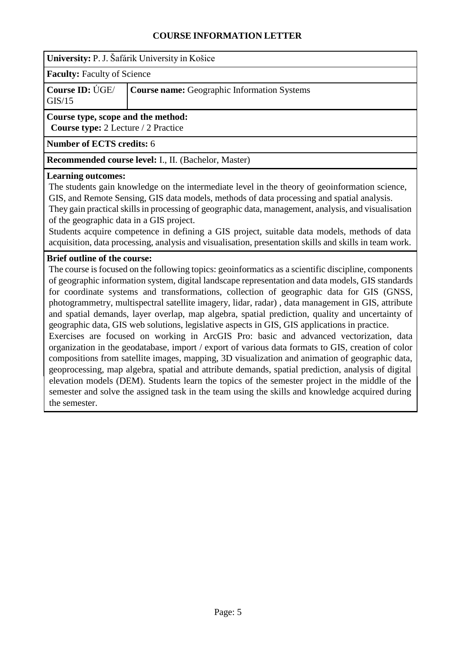<span id="page-4-0"></span>

**Faculty:** Faculty of Science

**Course ID:** ÚGE/ GIS/15 **Course name:** Geographic Information Systems

## **Course type, scope and the method:**

**Course type:** 2 Lecture / 2 Practice

**Number of ECTS credits:** 6

**Recommended course level:** I., II. (Bachelor, Master)

### **Learning outcomes:**

The students gain knowledge on the intermediate level in the theory of geoinformation science, GIS, and Remote Sensing, GIS data models, methods of data processing and spatial analysis. They gain practical skills in processing of geographic data, management, analysis, and visualisation

of the geographic data in a GIS project.

Students acquire competence in defining a GIS project, suitable data models, methods of data acquisition, data processing, analysis and visualisation, presentation skills and skills in team work.

## **Brief outline of the course:**

The course is focused on the following topics: geoinformatics as a scientific discipline, components of geographic information system, digital landscape representation and data models, GIS standards for coordinate systems and transformations, collection of geographic data for GIS (GNSS, photogrammetry, multispectral satellite imagery, lidar, radar) , data management in GIS, attribute and spatial demands, layer overlap, map algebra, spatial prediction, quality and uncertainty of geographic data, GIS web solutions, legislative aspects in GIS, GIS applications in practice.

Exercises are focused on working in ArcGIS Pro: basic and advanced vectorization, data organization in the geodatabase, import / export of various data formats to GIS, creation of color compositions from satellite images, mapping, 3D visualization and animation of geographic data, geoprocessing, map algebra, spatial and attribute demands, spatial prediction, analysis of digital elevation models (DEM). Students learn the topics of the semester project in the middle of the semester and solve the assigned task in the team using the skills and knowledge acquired during the semester.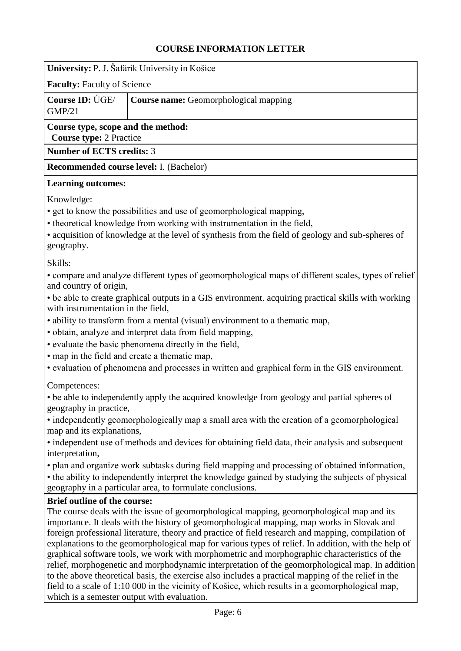<span id="page-5-0"></span>

| University: P. J. Šafárik University in Košice                                                                                                                                                                                                                                                                                                                                                                                                                                                                                                                                                                                                                                                                                                                                                                                                                                                           |                                                                                             |  |  |  |
|----------------------------------------------------------------------------------------------------------------------------------------------------------------------------------------------------------------------------------------------------------------------------------------------------------------------------------------------------------------------------------------------------------------------------------------------------------------------------------------------------------------------------------------------------------------------------------------------------------------------------------------------------------------------------------------------------------------------------------------------------------------------------------------------------------------------------------------------------------------------------------------------------------|---------------------------------------------------------------------------------------------|--|--|--|
| <b>Faculty: Faculty of Science</b>                                                                                                                                                                                                                                                                                                                                                                                                                                                                                                                                                                                                                                                                                                                                                                                                                                                                       |                                                                                             |  |  |  |
| Course ID: UGE/<br><b>GMP/21</b>                                                                                                                                                                                                                                                                                                                                                                                                                                                                                                                                                                                                                                                                                                                                                                                                                                                                         | Course name: Geomorphological mapping                                                       |  |  |  |
| Course type, scope and the method:<br><b>Course type: 2 Practice</b>                                                                                                                                                                                                                                                                                                                                                                                                                                                                                                                                                                                                                                                                                                                                                                                                                                     |                                                                                             |  |  |  |
| <b>Number of ECTS credits: 3</b>                                                                                                                                                                                                                                                                                                                                                                                                                                                                                                                                                                                                                                                                                                                                                                                                                                                                         |                                                                                             |  |  |  |
| Recommended course level: I. (Bachelor)                                                                                                                                                                                                                                                                                                                                                                                                                                                                                                                                                                                                                                                                                                                                                                                                                                                                  |                                                                                             |  |  |  |
| <b>Learning outcomes:</b>                                                                                                                                                                                                                                                                                                                                                                                                                                                                                                                                                                                                                                                                                                                                                                                                                                                                                |                                                                                             |  |  |  |
| Knowledge:<br>• get to know the possibilities and use of geomorphological mapping,<br>• theoretical knowledge from working with instrumentation in the field,<br>• acquisition of knowledge at the level of synthesis from the field of geology and sub-spheres of<br>geography.                                                                                                                                                                                                                                                                                                                                                                                                                                                                                                                                                                                                                         |                                                                                             |  |  |  |
| Skills:<br>• compare and analyze different types of geomorphological maps of different scales, types of relief<br>and country of origin,<br>• be able to create graphical outputs in a GIS environment. acquiring practical skills with working<br>with instrumentation in the field,<br>• ability to transform from a mental (visual) environment to a thematic map,<br>· obtain, analyze and interpret data from field mapping,<br>· evaluate the basic phenomena directly in the field,<br>• map in the field and create a thematic map,<br>• evaluation of phenomena and processes in written and graphical form in the GIS environment.<br>Competences:                                                                                                                                                                                                                                             |                                                                                             |  |  |  |
| geography in practice,                                                                                                                                                                                                                                                                                                                                                                                                                                                                                                                                                                                                                                                                                                                                                                                                                                                                                   | • be able to independently apply the acquired knowledge from geology and partial spheres of |  |  |  |
| map and its explanations,                                                                                                                                                                                                                                                                                                                                                                                                                                                                                                                                                                                                                                                                                                                                                                                                                                                                                | • independently geomorphologically map a small area with the creation of a geomorphological |  |  |  |
| • independent use of methods and devices for obtaining field data, their analysis and subsequent<br>interpretation,<br>• plan and organize work subtasks during field mapping and processing of obtained information,<br>• the ability to independently interpret the knowledge gained by studying the subjects of physical                                                                                                                                                                                                                                                                                                                                                                                                                                                                                                                                                                              |                                                                                             |  |  |  |
|                                                                                                                                                                                                                                                                                                                                                                                                                                                                                                                                                                                                                                                                                                                                                                                                                                                                                                          | geography in a particular area, to formulate conclusions.                                   |  |  |  |
| <b>Brief outline of the course:</b><br>The course deals with the issue of geomorphological mapping, geomorphological map and its<br>importance. It deals with the history of geomorphological mapping, map works in Slovak and<br>foreign professional literature, theory and practice of field research and mapping, compilation of<br>explanations to the geomorphological map for various types of relief. In addition, with the help of<br>graphical software tools, we work with morphometric and morphographic characteristics of the<br>relief, morphogenetic and morphodynamic interpretation of the geomorphological map. In addition<br>to the above theoretical basis, the exercise also includes a practical mapping of the relief in the<br>field to a scale of 1:10 000 in the vicinity of Košice, which results in a geomorphological map,<br>which is a semester output with evaluation. |                                                                                             |  |  |  |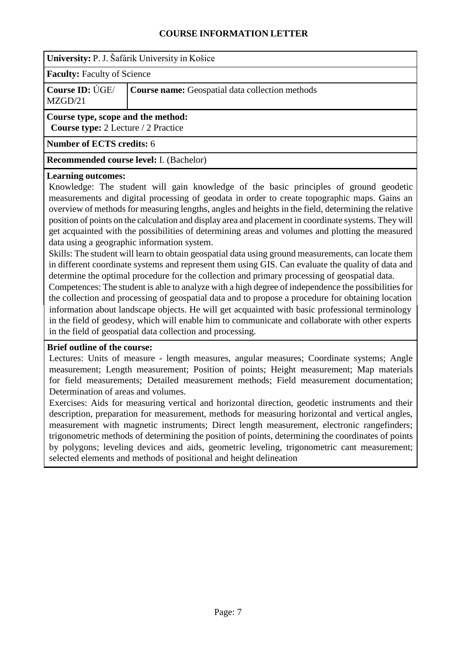<span id="page-6-0"></span>

**Faculty:** Faculty of Science

**Course ID:** ÚGE/ MZGD/21 **Course name:** Geospatial data collection methods

## **Course type, scope and the method:**

**Course type:** 2 Lecture / 2 Practice

**Number of ECTS credits:** 6

**Recommended course level:** I. (Bachelor)

#### **Learning outcomes:**

Knowledge: The student will gain knowledge of the basic principles of ground geodetic measurements and digital processing of geodata in order to create topographic maps. Gains an overview of methods for measuring lengths, angles and heights in the field, determining the relative position of points on the calculation and display area and placement in coordinate systems. They will get acquainted with the possibilities of determining areas and volumes and plotting the measured data using a geographic information system.

Skills: The student will learn to obtain geospatial data using ground measurements, can locate them in different coordinate systems and represent them using GIS. Can evaluate the quality of data and determine the optimal procedure for the collection and primary processing of geospatial data.

Competences: The student is able to analyze with a high degree of independence the possibilities for the collection and processing of geospatial data and to propose a procedure for obtaining location information about landscape objects. He will get acquainted with basic professional terminology in the field of geodesy, which will enable him to communicate and collaborate with other experts in the field of geospatial data collection and processing.

### **Brief outline of the course:**

Lectures: Units of measure - length measures, angular measures; Coordinate systems; Angle measurement; Length measurement; Position of points; Height measurement; Map materials for field measurements; Detailed measurement methods; Field measurement documentation; Determination of areas and volumes.

Exercises: Aids for measuring vertical and horizontal direction, geodetic instruments and their description, preparation for measurement, methods for measuring horizontal and vertical angles, measurement with magnetic instruments; Direct length measurement, electronic rangefinders; trigonometric methods of determining the position of points, determining the coordinates of points by polygons; leveling devices and aids, geometric leveling, trigonometric cant measurement; selected elements and methods of positional and height delineation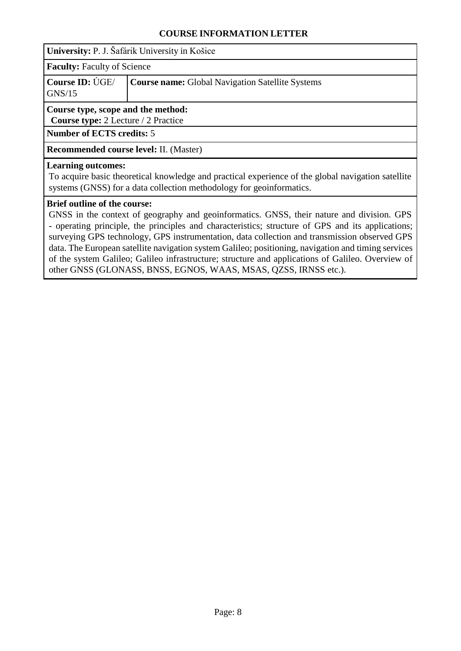<span id="page-7-0"></span>**University:** P. J. Šafárik University in Košice

**Faculty:** Faculty of Science

|        | <b>Course ID:</b> UGE/ Course name: Global Navigation Satellite Systems |
|--------|-------------------------------------------------------------------------|
| GNS/15 |                                                                         |

### **Course type, scope and the method:**

**Course type:** 2 Lecture / 2 Practice

**Number of ECTS credits:** 5

**Recommended course level:** II. (Master)

#### **Learning outcomes:**

To acquire basic theoretical knowledge and practical experience of the global navigation satellite systems (GNSS) for a data collection methodology for geoinformatics.

### **Brief outline of the course:**

GNSS in the context of geography and geoinformatics. GNSS, their nature and division. GPS - operating principle, the principles and characteristics; structure of GPS and its applications; surveying GPS technology, GPS instrumentation, data collection and transmission observed GPS data. The European satellite navigation system Galileo; positioning, navigation and timing services of the system Galileo; Galileo infrastructure; structure and applications of Galileo. Overview of other GNSS (GLONASS, BNSS, EGNOS, WAAS, MSAS, QZSS, IRNSS etc.).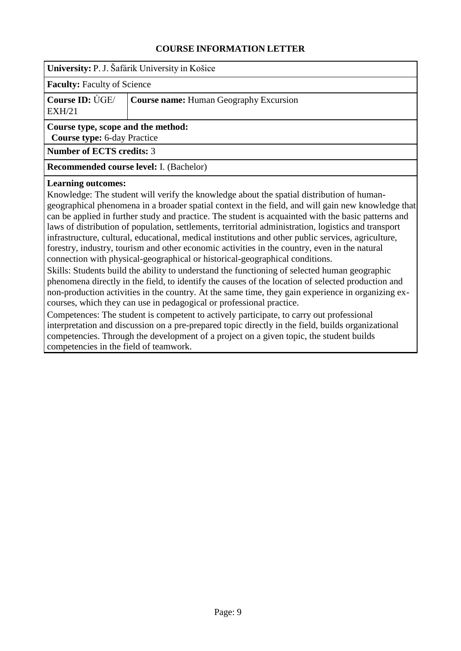<span id="page-8-0"></span>

**Faculty:** Faculty of Science

|        | <b>Course ID:</b> $\dot{\text{UGE}}$ $\vert$ <b>Course name:</b> Human Geography Excursion |
|--------|--------------------------------------------------------------------------------------------|
| EXH/21 |                                                                                            |

#### **Course type, scope and the method:**

**Course type:** 6-day Practice

**Number of ECTS credits:** 3

**Recommended course level:** I. (Bachelor)

#### **Learning outcomes:**

Knowledge: The student will verify the knowledge about the spatial distribution of humangeographical phenomena in a broader spatial context in the field, and will gain new knowledge that can be applied in further study and practice. The student is acquainted with the basic patterns and laws of distribution of population, settlements, territorial administration, logistics and transport infrastructure, cultural, educational, medical institutions and other public services, agriculture, forestry, industry, tourism and other economic activities in the country, even in the natural connection with physical-geographical or historical-geographical conditions.

Skills: Students build the ability to understand the functioning of selected human geographic phenomena directly in the field, to identify the causes of the location of selected production and non-production activities in the country. At the same time, they gain experience in organizing excourses, which they can use in pedagogical or professional practice.

Competences: The student is competent to actively participate, to carry out professional interpretation and discussion on a pre-prepared topic directly in the field, builds organizational competencies. Through the development of a project on a given topic, the student builds competencies in the field of teamwork.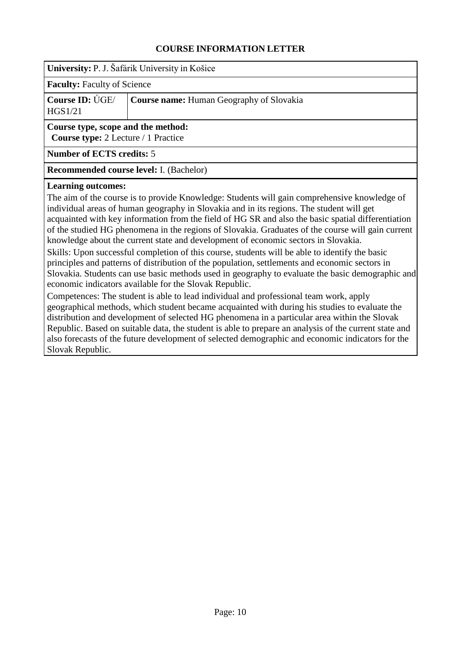<span id="page-9-0"></span>

**Faculty:** Faculty of Science

| Course ID: $\dot{\text{UGE}}$ | <b>Course name:</b> Human Geography of Slovakia |
|-------------------------------|-------------------------------------------------|
| HGS1/21                       |                                                 |

#### **Course type, scope and the method:**

**Course type:** 2 Lecture / 1 Practice

**Number of ECTS credits:** 5

**Recommended course level:** I. (Bachelor)

#### **Learning outcomes:**

The aim of the course is to provide Knowledge: Students will gain comprehensive knowledge of individual areas of human geography in Slovakia and in its regions. The student will get acquainted with key information from the field of HG SR and also the basic spatial differentiation of the studied HG phenomena in the regions of Slovakia. Graduates of the course will gain current knowledge about the current state and development of economic sectors in Slovakia.

Skills: Upon successful completion of this course, students will be able to identify the basic principles and patterns of distribution of the population, settlements and economic sectors in Slovakia. Students can use basic methods used in geography to evaluate the basic demographic and economic indicators available for the Slovak Republic.

Competences: The student is able to lead individual and professional team work, apply geographical methods, which student became acquainted with during his studies to evaluate the distribution and development of selected HG phenomena in a particular area within the Slovak Republic. Based on suitable data, the student is able to prepare an analysis of the current state and also forecasts of the future development of selected demographic and economic indicators for the Slovak Republic.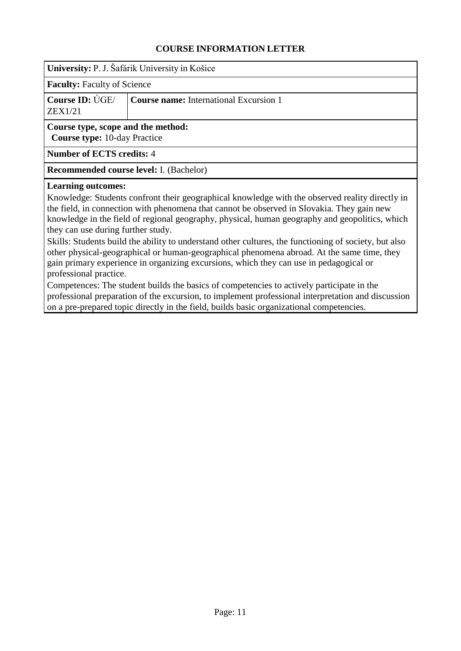<span id="page-10-0"></span>

**Faculty:** Faculty of Science

|         | <b>Course ID:</b> UGE/ <b>Course name:</b> International Excursion 1 |
|---------|----------------------------------------------------------------------|
| ZEX1/21 |                                                                      |

## **Course type, scope and the method:**

**Course type:** 10-day Practice

**Number of ECTS credits:** 4

**Recommended course level:** I. (Bachelor)

#### **Learning outcomes:**

Knowledge: Students confront their geographical knowledge with the observed reality directly in the field, in connection with phenomena that cannot be observed in Slovakia. They gain new knowledge in the field of regional geography, physical, human geography and geopolitics, which they can use during further study.

Skills: Students build the ability to understand other cultures, the functioning of society, but also other physical-geographical or human-geographical phenomena abroad. At the same time, they gain primary experience in organizing excursions, which they can use in pedagogical or professional practice.

Competences: The student builds the basics of competencies to actively participate in the professional preparation of the excursion, to implement professional interpretation and discussion on a pre-prepared topic directly in the field, builds basic organizational competencies.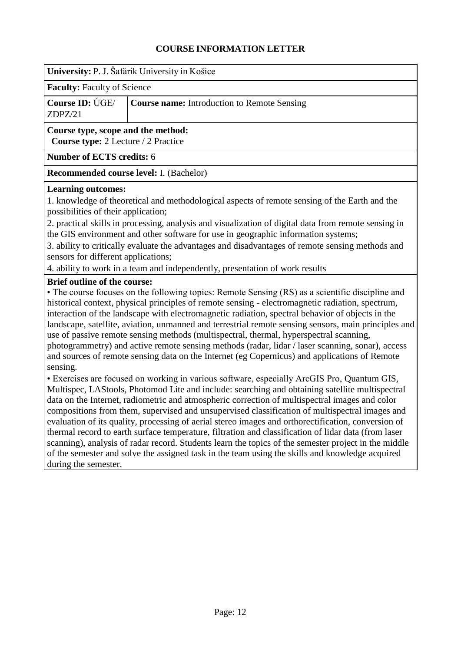<span id="page-11-0"></span>

**Faculty:** Faculty of Science

|         | Course ID: ÚGE/ Course name: Introduction to Remote Sensing |
|---------|-------------------------------------------------------------|
| ZDPZ/21 |                                                             |

#### **Course type, scope and the method:**

**Course type:** 2 Lecture / 2 Practice

#### **Number of ECTS credits:** 6

**Recommended course level:** I. (Bachelor)

#### **Learning outcomes:**

1. knowledge of theoretical and methodological aspects of remote sensing of the Earth and the possibilities of their application;

2. practical skills in processing, analysis and visualization of digital data from remote sensing in the GIS environment and other software for use in geographic information systems;

3. ability to critically evaluate the advantages and disadvantages of remote sensing methods and sensors for different applications;

4. ability to work in a team and independently, presentation of work results

### **Brief outline of the course:**

• The course focuses on the following topics: Remote Sensing (RS) as a scientific discipline and historical context, physical principles of remote sensing - electromagnetic radiation, spectrum, interaction of the landscape with electromagnetic radiation, spectral behavior of objects in the landscape, satellite, aviation, unmanned and terrestrial remote sensing sensors, main principles and use of passive remote sensing methods (multispectral, thermal, hyperspectral scanning, photogrammetry) and active remote sensing methods (radar, lidar / laser scanning, sonar), access and sources of remote sensing data on the Internet (eg Copernicus) and applications of Remote sensing.

• Exercises are focused on working in various software, especially ArcGIS Pro, Quantum GIS, Multispec, LAStools, Photomod Lite and include: searching and obtaining satellite multispectral data on the Internet, radiometric and atmospheric correction of multispectral images and color compositions from them, supervised and unsupervised classification of multispectral images and evaluation of its quality, processing of aerial stereo images and orthorectification, conversion of thermal record to earth surface temperature, filtration and classification of lidar data (from laser scanning), analysis of radar record. Students learn the topics of the semester project in the middle of the semester and solve the assigned task in the team using the skills and knowledge acquired during the semester.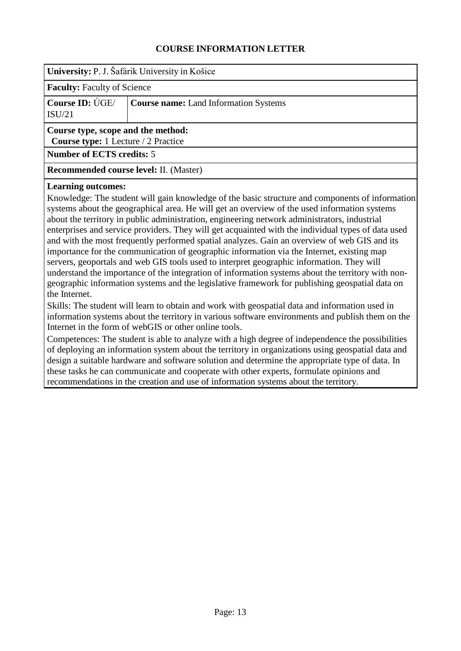<span id="page-12-0"></span>

| University: P. J. Šafárik University in Košice                            |                                              |
|---------------------------------------------------------------------------|----------------------------------------------|
| <b>Faculty:</b> Faculty of Science                                        |                                              |
| Course ID: UGE/<br>ISU/21                                                 | <b>Course name:</b> Land Information Systems |
| Course type, scope and the method:<br>Course type: 1 Lecture / 2 Practice |                                              |
| <b>Number of ECTS credits: 5</b>                                          |                                              |
| <b>Recommended course level: II. (Master)</b>                             |                                              |

#### **Learning outcomes:**

Knowledge: The student will gain knowledge of the basic structure and components of information systems about the geographical area. He will get an overview of the used information systems about the territory in public administration, engineering network administrators, industrial enterprises and service providers. They will get acquainted with the individual types of data used and with the most frequently performed spatial analyzes. Gain an overview of web GIS and its importance for the communication of geographic information via the Internet, existing map servers, geoportals and web GIS tools used to interpret geographic information. They will understand the importance of the integration of information systems about the territory with nongeographic information systems and the legislative framework for publishing geospatial data on the Internet.

Skills: The student will learn to obtain and work with geospatial data and information used in information systems about the territory in various software environments and publish them on the Internet in the form of webGIS or other online tools.

Competences: The student is able to analyze with a high degree of independence the possibilities of deploying an information system about the territory in organizations using geospatial data and design a suitable hardware and software solution and determine the appropriate type of data. In these tasks he can communicate and cooperate with other experts, formulate opinions and recommendations in the creation and use of information systems about the territory.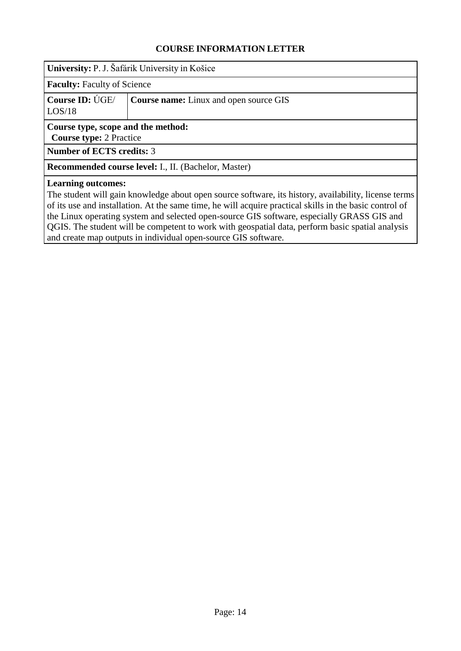<span id="page-13-0"></span>

| University: P. J. Šafárik University in Košice |
|------------------------------------------------|
|                                                |

**Faculty:** Faculty of Science

|        | <b>Course ID:</b> UGE/ <b>Course name:</b> Linux and open source GIS |
|--------|----------------------------------------------------------------------|
| LOS/18 |                                                                      |

#### **Course type, scope and the method:**

**Course type:** 2 Practice

**Number of ECTS credits:** 3

**Recommended course level:** I., II. (Bachelor, Master)

#### **Learning outcomes:**

The student will gain knowledge about open source software, its history, availability, license terms of its use and installation. At the same time, he will acquire practical skills in the basic control of the Linux operating system and selected open-source GIS software, especially GRASS GIS and QGIS. The student will be competent to work with geospatial data, perform basic spatial analysis and create map outputs in individual open-source GIS software.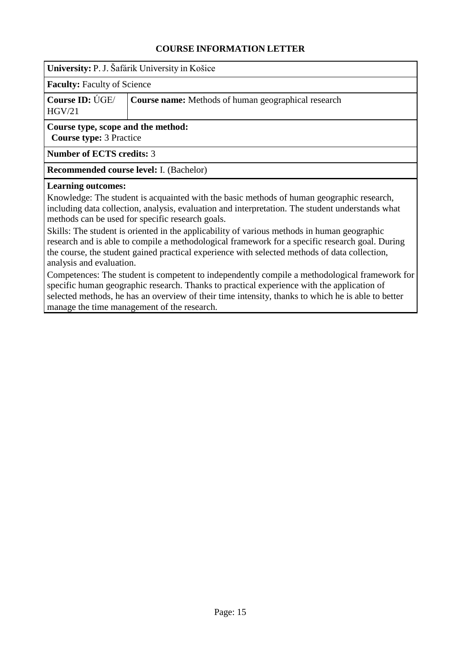<span id="page-14-0"></span>**University:** P. J. Šafárik University in Košice

**Faculty:** Faculty of Science

**Course ID:** ÚGE/ HGV/21 **Course name:** Methods of human geographical research

**Course type, scope and the method: Course type:** 3 Practice

**Number of ECTS credits:** 3

**Recommended course level:** I. (Bachelor)

#### **Learning outcomes:**

Knowledge: The student is acquainted with the basic methods of human geographic research, including data collection, analysis, evaluation and interpretation. The student understands what methods can be used for specific research goals.

Skills: The student is oriented in the applicability of various methods in human geographic research and is able to compile a methodological framework for a specific research goal. During the course, the student gained practical experience with selected methods of data collection, analysis and evaluation.

Competences: The student is competent to independently compile a methodological framework for specific human geographic research. Thanks to practical experience with the application of selected methods, he has an overview of their time intensity, thanks to which he is able to better manage the time management of the research.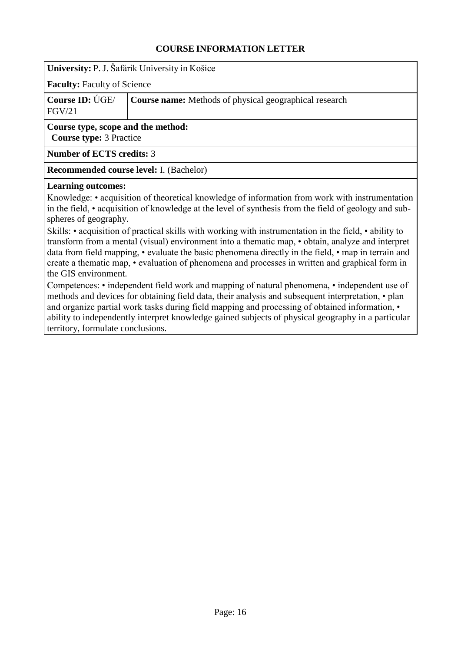<span id="page-15-0"></span>**University:** P. J. Šafárik University in Košice

**Faculty:** Faculty of Science

**Course ID:** ÚGE/ FGV/21 **Course name:** Methods of physical geographical research

**Course type, scope and the method: Course type:** 3 Practice

**Number of ECTS credits:** 3

**Recommended course level:** I. (Bachelor)

#### **Learning outcomes:**

Knowledge: • acquisition of theoretical knowledge of information from work with instrumentation in the field, • acquisition of knowledge at the level of synthesis from the field of geology and subspheres of geography.

Skills: • acquisition of practical skills with working with instrumentation in the field, • ability to transform from a mental (visual) environment into a thematic map, • obtain, analyze and interpret data from field mapping, • evaluate the basic phenomena directly in the field, • map in terrain and create a thematic map, • evaluation of phenomena and processes in written and graphical form in the GIS environment.

Competences: • independent field work and mapping of natural phenomena, • independent use of methods and devices for obtaining field data, their analysis and subsequent interpretation, • plan and organize partial work tasks during field mapping and processing of obtained information,  $\cdot$ ability to independently interpret knowledge gained subjects of physical geography in a particular territory, formulate conclusions.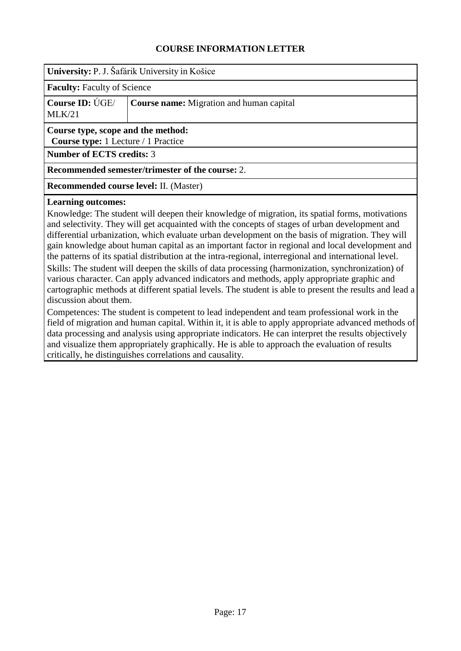<span id="page-16-0"></span>

**Faculty:** Faculty of Science

|        | <b>Course ID:</b> UGE/ <b>Course name:</b> Migration and human capital |
|--------|------------------------------------------------------------------------|
| MLK/21 |                                                                        |

### **Course type, scope and the method:**

**Course type:** 1 Lecture / 1 Practice

**Number of ECTS credits:** 3

#### **Recommended semester/trimester of the course:** 2.

**Recommended course level:** II. (Master)

#### **Learning outcomes:**

Knowledge: The student will deepen their knowledge of migration, its spatial forms, motivations and selectivity. They will get acquainted with the concepts of stages of urban development and differential urbanization, which evaluate urban development on the basis of migration. They will gain knowledge about human capital as an important factor in regional and local development and the patterns of its spatial distribution at the intra-regional, interregional and international level. Skills: The student will deepen the skills of data processing (harmonization, synchronization) of various character. Can apply advanced indicators and methods, apply appropriate graphic and cartographic methods at different spatial levels. The student is able to present the results and lead a discussion about them.

Competences: The student is competent to lead independent and team professional work in the field of migration and human capital. Within it, it is able to apply appropriate advanced methods of data processing and analysis using appropriate indicators. He can interpret the results objectively and visualize them appropriately graphically. He is able to approach the evaluation of results critically, he distinguishes correlations and causality.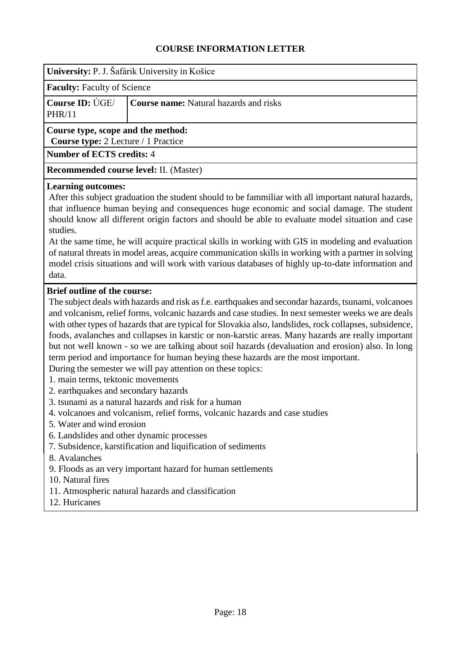<span id="page-17-0"></span>

| University: P. J. Šafárik University in Košice                                   |                                               |
|----------------------------------------------------------------------------------|-----------------------------------------------|
| <b>Faculty:</b> Faculty of Science                                               |                                               |
| Course ID: UGE/<br>PHR/11                                                        | <b>Course name:</b> Natural hazards and risks |
| Course type, scope and the method:<br><b>Course type:</b> 2 Lecture / 1 Practice |                                               |
| <b>Number of ECTS credits: 4</b>                                                 |                                               |
| Recommended course level: II. (Master)                                           |                                               |
| <b>Learning outcomes:</b>                                                        |                                               |

After this subject graduation the student should to be fammiliar with all important natural hazards, that influence human beying and consequences huge economic and social damage. The student should know all different origin factors and should be able to evaluate model situation and case studies.

At the same time, he will acquire practical skills in working with GIS in modeling and evaluation of natural threats in model areas, acquire communication skills in working with a partner in solving model crisis situations and will work with various databases of highly up-to-date information and data.

## **Brief outline of the course:**

The subject deals with hazards and risk asf.e. earthquakes and secondar hazards, tsunami, volcanoes and volcanism, relief forms, volcanic hazards and case studies. In next semester weeks we are deals with other types of hazards that are typical for Slovakia also, landslides, rock collapses, subsidence, foods, avalanches and collapses in karstic or non-karstic areas. Many hazards are really important but not well known - so we are talking about soil hazards (devaluation and erosion) also. In long term period and importance for human beying these hazards are the most important.

During the semester we will pay attention on these topics:

- 1. main terms, tektonic movements
- 2. earthquakes and secondary hazards
- 3. tsunami as a natural hazards and risk for a human
- 4. volcanoes and volcanism, relief forms, volcanic hazards and case studies
- 5. Water and wind erosion
- 6. Landslides and other dynamic processes
- 7. Subsidence, karstification and liquification of sediments
- 8. Avalanches
- 9. Floods as an very important hazard for human settlements
- 10. Natural fires
- 11. Atmospheric natural hazards and classification
- 12. Huricanes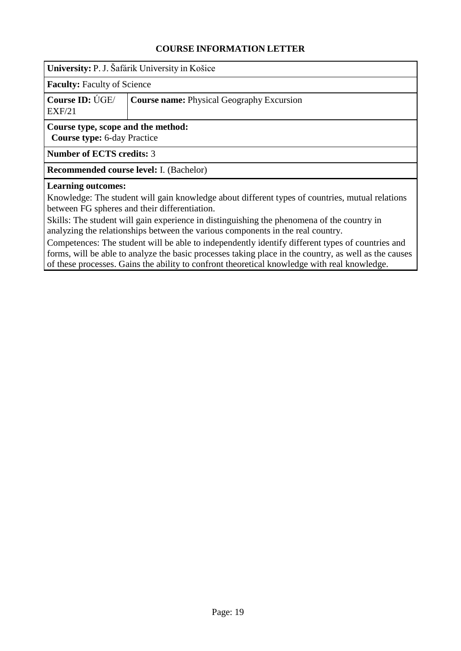<span id="page-18-0"></span>

**Faculty:** Faculty of Science

|        | <b>Course ID:</b> UGE/ <b>Course name:</b> Physical Geography Excursion |
|--------|-------------------------------------------------------------------------|
| EXF/21 |                                                                         |

# **Course type, scope and the method:**

**Course type:** 6-day Practice

**Number of ECTS credits:** 3

**Recommended course level:** I. (Bachelor)

#### **Learning outcomes:**

Knowledge: The student will gain knowledge about different types of countries, mutual relations between FG spheres and their differentiation.

Skills: The student will gain experience in distinguishing the phenomena of the country in analyzing the relationships between the various components in the real country.

Competences: The student will be able to independently identify different types of countries and forms, will be able to analyze the basic processes taking place in the country, as well as the causes of these processes. Gains the ability to confront theoretical knowledge with real knowledge.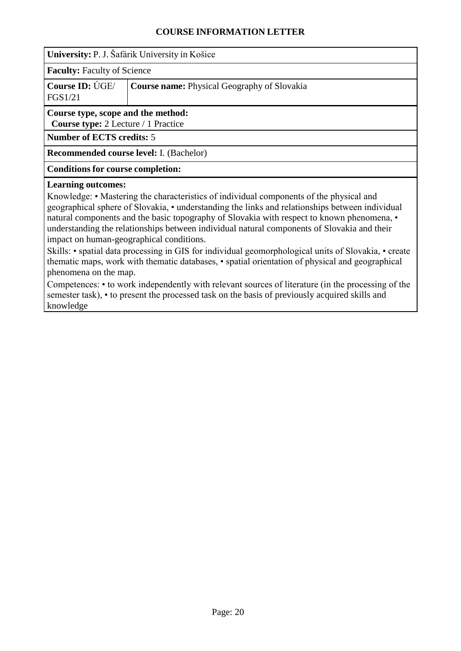<span id="page-19-0"></span>

|                                                                                         | University: P. J. Šafárik University in Košice     |  |
|-----------------------------------------------------------------------------------------|----------------------------------------------------|--|
| <b>Faculty:</b> Faculty of Science                                                      |                                                    |  |
| Course ID: UGE/<br>FGS1/21                                                              | <b>Course name:</b> Physical Geography of Slovakia |  |
| Course type, scope and the method:<br><b>Course type:</b> 2 Lecture / 1 Practice        |                                                    |  |
| <b>Number of ECTS credits: 5</b>                                                        |                                                    |  |
|                                                                                         | <b>Recommended course level:</b> I. (Bachelor)     |  |
| <b>Conditions for course completion:</b>                                                |                                                    |  |
| <b>Learning outcomes:</b>                                                               |                                                    |  |
| Knowledge: • Mastering the characteristics of individual components of the physical and |                                                    |  |

geographical sphere of Slovakia, • understanding the links and relationships between individual natural components and the basic topography of Slovakia with respect to known phenomena, • understanding the relationships between individual natural components of Slovakia and their impact on human-geographical conditions.

Skills: • spatial data processing in GIS for individual geomorphological units of Slovakia, • create thematic maps, work with thematic databases, • spatial orientation of physical and geographical phenomena on the map.

Competences: • to work independently with relevant sources of literature (in the processing of the semester task), • to present the processed task on the basis of previously acquired skills and knowledge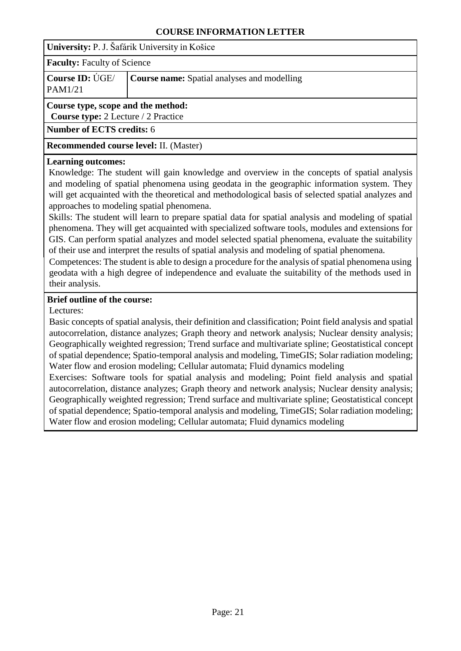<span id="page-20-0"></span>**University:** P. J. Šafárik University in Košice

**Faculty:** Faculty of Science

| <b>Course ID: UGE/</b> | <b>Course name:</b> Spatial analyses and modelling |
|------------------------|----------------------------------------------------|
|------------------------|----------------------------------------------------|

#### PAM1/21

## **Course type, scope and the method:**

**Course type:** 2 Lecture / 2 Practice

**Number of ECTS credits:** 6

**Recommended course level:** II. (Master)

### **Learning outcomes:**

Knowledge: The student will gain knowledge and overview in the concepts of spatial analysis and modeling of spatial phenomena using geodata in the geographic information system. They will get acquainted with the theoretical and methodological basis of selected spatial analyzes and approaches to modeling spatial phenomena.

Skills: The student will learn to prepare spatial data for spatial analysis and modeling of spatial phenomena. They will get acquainted with specialized software tools, modules and extensions for GIS. Can perform spatial analyzes and model selected spatial phenomena, evaluate the suitability of their use and interpret the results of spatial analysis and modeling of spatial phenomena.

Competences: The student is able to design a procedure for the analysis of spatial phenomena using geodata with a high degree of independence and evaluate the suitability of the methods used in their analysis.

### **Brief outline of the course:**

Lectures:

Basic concepts of spatial analysis, their definition and classification; Point field analysis and spatial autocorrelation, distance analyzes; Graph theory and network analysis; Nuclear density analysis; Geographically weighted regression; Trend surface and multivariate spline; Geostatistical concept of spatial dependence; Spatio-temporal analysis and modeling, TimeGIS; Solar radiation modeling; Water flow and erosion modeling; Cellular automata; Fluid dynamics modeling

Exercises: Software tools for spatial analysis and modeling; Point field analysis and spatial autocorrelation, distance analyzes; Graph theory and network analysis; Nuclear density analysis; Geographically weighted regression; Trend surface and multivariate spline; Geostatistical concept of spatial dependence; Spatio-temporal analysis and modeling, TimeGIS; Solar radiation modeling; Water flow and erosion modeling; Cellular automata; Fluid dynamics modeling